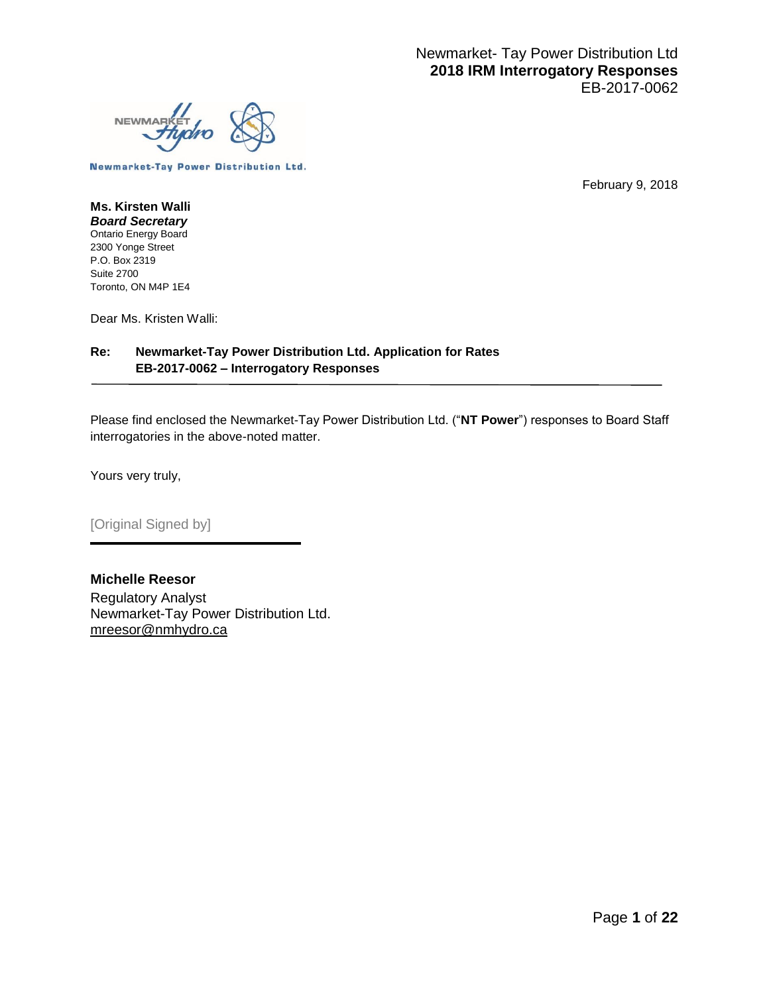

**Newmarket-Tay Power Distribution Ltd.** 

February 9, 2018

#### **Ms. Kirsten Walli** *Board Secretary* Ontario Energy Board 2300 Yonge Street P.O. Box 2319 Suite 2700 Toronto, ON M4P 1E4

Dear Ms. Kristen Walli:

#### **Re: Newmarket-Tay Power Distribution Ltd. Application for Rates EB-2017-0062 – Interrogatory Responses**

Please find enclosed the Newmarket-Tay Power Distribution Ltd. ("**NT Power**") responses to Board Staff interrogatories in the above-noted matter.

Yours very truly,

[Original Signed by]

**Michelle Reesor** Regulatory Analyst Newmarket-Tay Power Distribution Ltd. mreesor@nmhydro.ca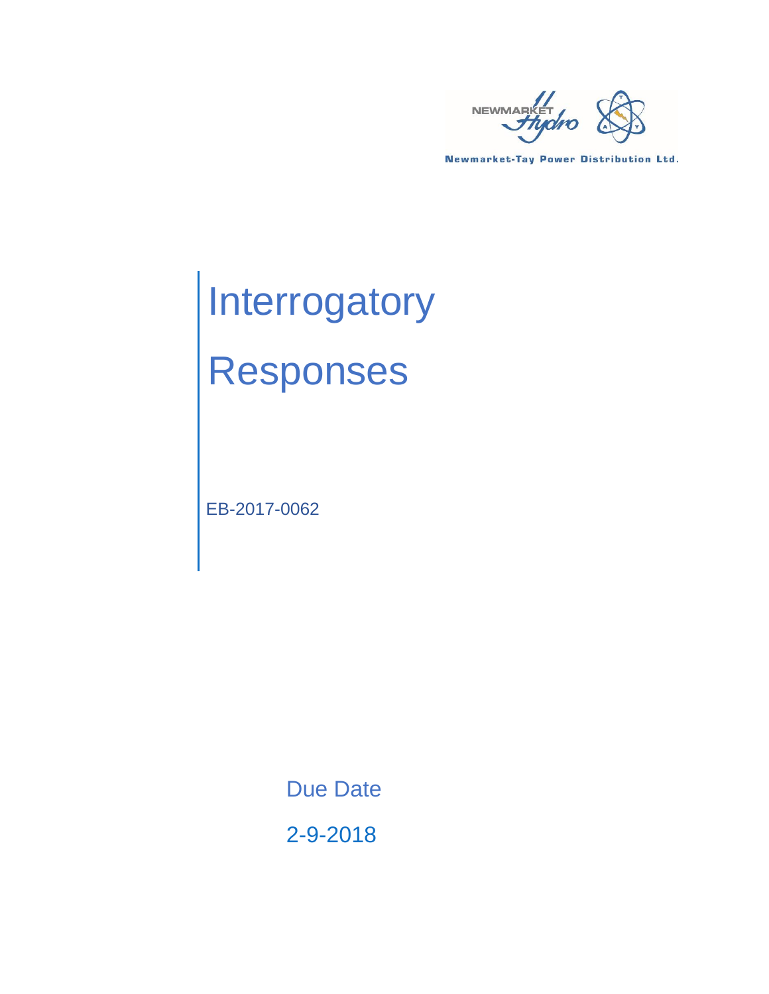

**Newmarket-Tay Power Distribution Ltd.** 

# **Interrogatory** Responses

EB-2017-0062

Due Date

2-9-2018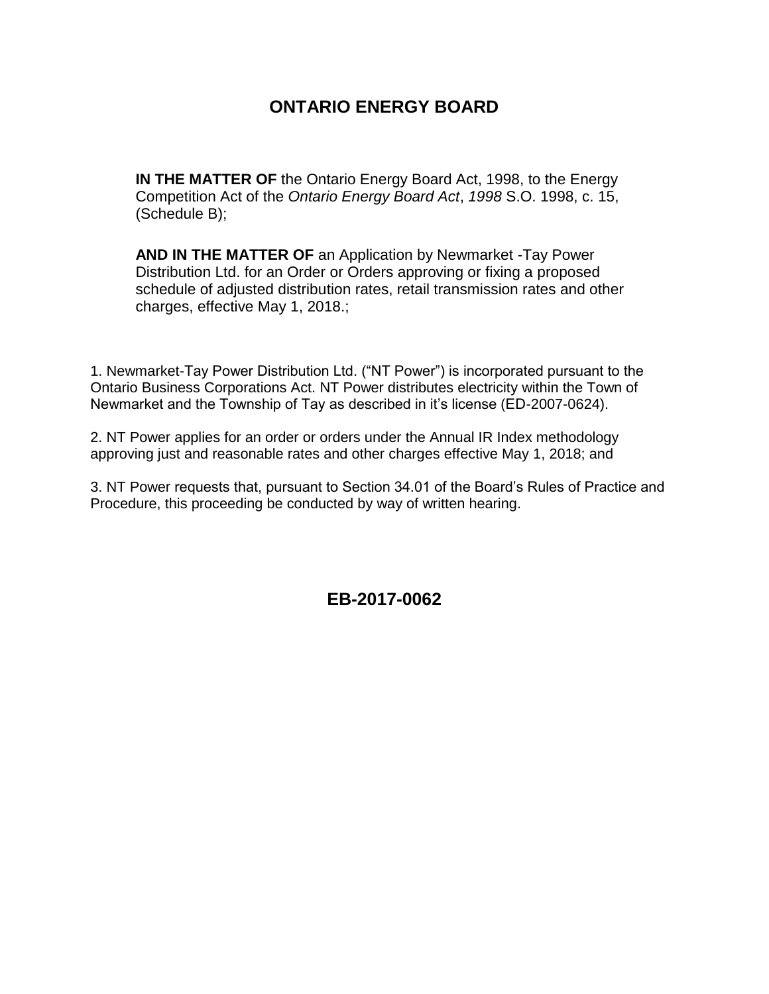#### **ONTARIO ENERGY BOARD**

**IN THE MATTER OF** the Ontario Energy Board Act, 1998, to the Energy Competition Act of the *Ontario Energy Board Act*, *1998* S.O. 1998, c. 15, (Schedule B);

**AND IN THE MATTER OF** an Application by Newmarket -Tay Power Distribution Ltd. for an Order or Orders approving or fixing a proposed schedule of adjusted distribution rates, retail transmission rates and other charges, effective May 1, 2018.;

1. Newmarket-Tay Power Distribution Ltd. ("NT Power") is incorporated pursuant to the Ontario Business Corporations Act. NT Power distributes electricity within the Town of Newmarket and the Township of Tay as described in it's license (ED-2007-0624).

2. NT Power applies for an order or orders under the Annual IR Index methodology approving just and reasonable rates and other charges effective May 1, 2018; and

3. NT Power requests that, pursuant to Section 34.01 of the Board's Rules of Practice and Procedure, this proceeding be conducted by way of written hearing.

**EB-2017-0062**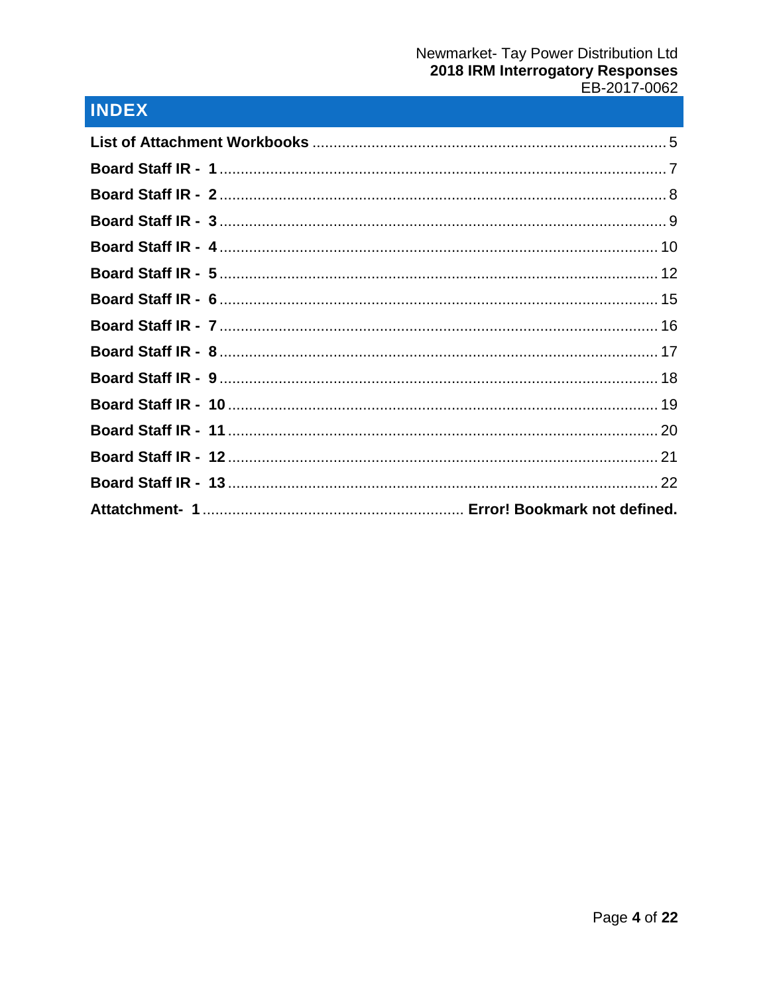# INDEX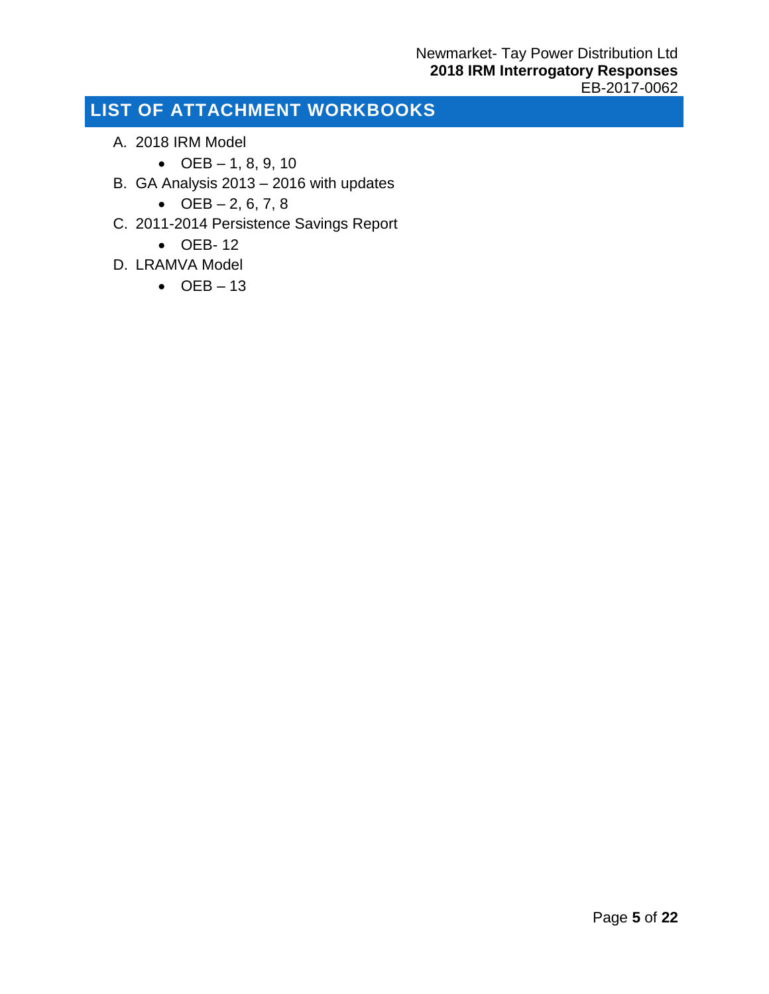# <span id="page-4-0"></span>**LIST OF ATTACHMENT WORKBOOKS**

- A. 2018 IRM Model
	- $OEB 1, 8, 9, 10$
- B. GA Analysis 2013 2016 with updates
	- $OEB 2, 6, 7, 8$
- C. 2011-2014 Persistence Savings Report
	- OEB- 12
- D. LRAMVA Model
	- $\bullet$  OEB 13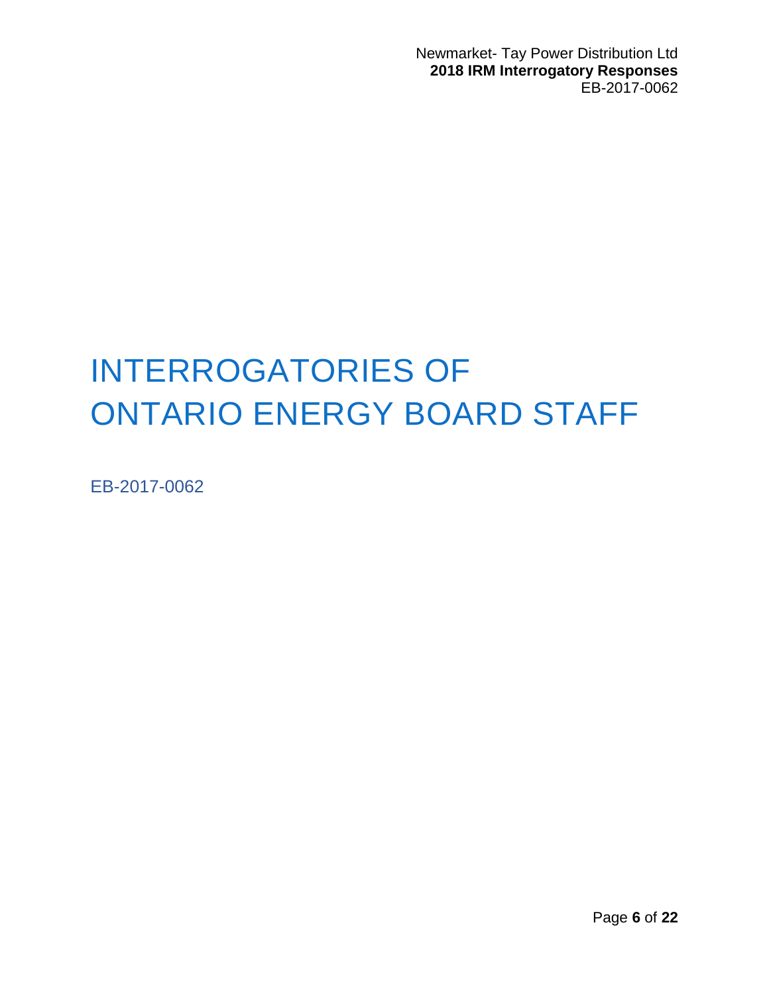Newmarket- Tay Power Distribution Ltd **2018 IRM Interrogatory Responses** EB-2017-0062

# INTERROGATORIES OF ONTARIO ENERGY BOARD STAFF

EB-2017-0062

Page **6** of **22**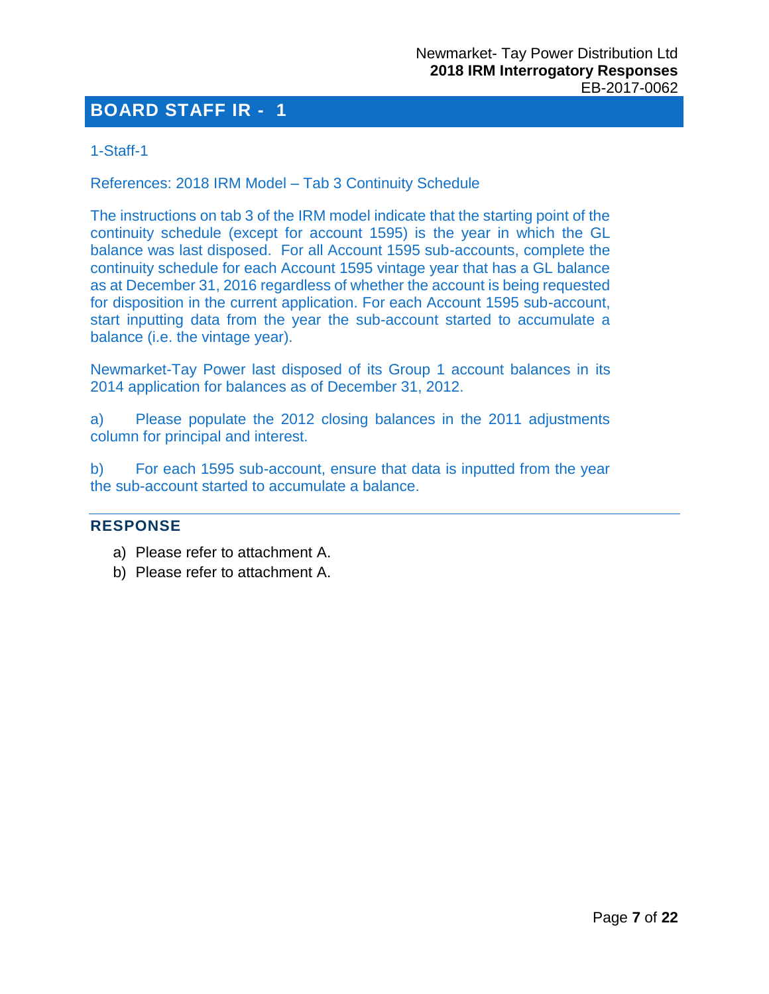#### <span id="page-6-0"></span>1-Staff-1

References: 2018 IRM Model – Tab 3 Continuity Schedule

The instructions on tab 3 of the IRM model indicate that the starting point of the continuity schedule (except for account 1595) is the year in which the GL balance was last disposed. For all Account 1595 sub-accounts, complete the continuity schedule for each Account 1595 vintage year that has a GL balance as at December 31, 2016 regardless of whether the account is being requested for disposition in the current application. For each Account 1595 sub-account, start inputting data from the year the sub-account started to accumulate a balance (i.e. the vintage year).

Newmarket-Tay Power last disposed of its Group 1 account balances in its 2014 application for balances as of December 31, 2012.

a) Please populate the 2012 closing balances in the 2011 adjustments column for principal and interest.

b) For each 1595 sub-account, ensure that data is inputted from the year the sub-account started to accumulate a balance.

#### **RESPONSE**

- a) Please refer to attachment A.
- b) Please refer to attachment A.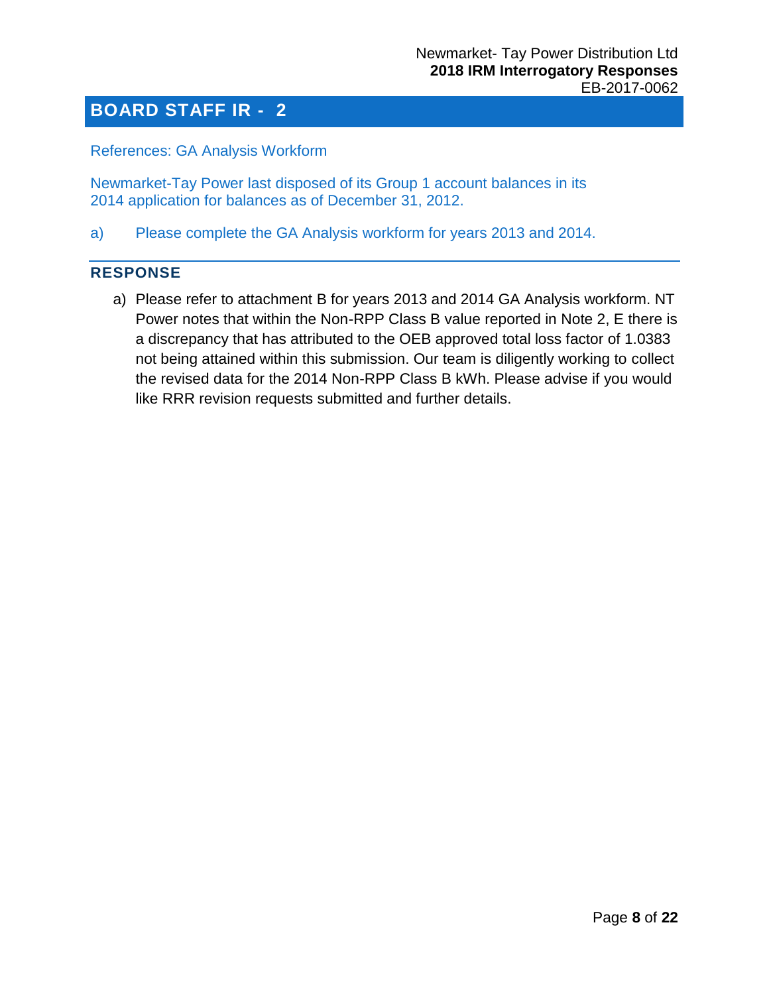<span id="page-7-0"></span>References: GA Analysis Workform

Newmarket-Tay Power last disposed of its Group 1 account balances in its 2014 application for balances as of December 31, 2012.

a) Please complete the GA Analysis workform for years 2013 and 2014.

#### **RESPONSE**

a) Please refer to attachment B for years 2013 and 2014 GA Analysis workform. NT Power notes that within the Non-RPP Class B value reported in Note 2, E there is a discrepancy that has attributed to the OEB approved total loss factor of 1.0383 not being attained within this submission. Our team is diligently working to collect the revised data for the 2014 Non-RPP Class B kWh. Please advise if you would like RRR revision requests submitted and further details.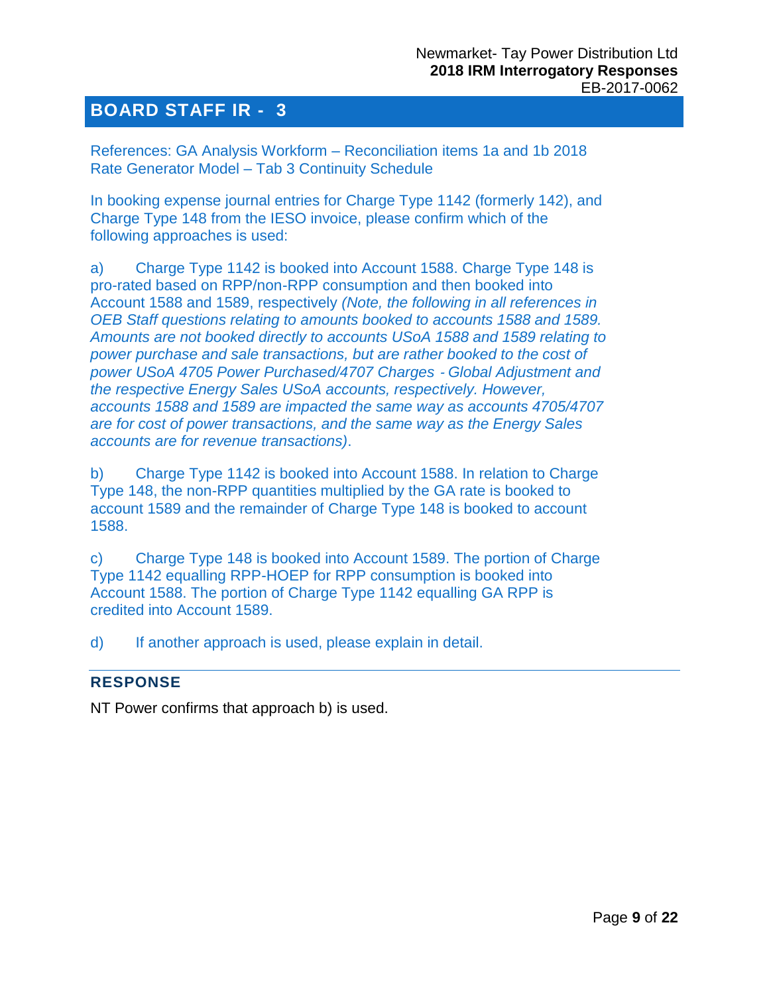<span id="page-8-0"></span>References: GA Analysis Workform – Reconciliation items 1a and 1b 2018 Rate Generator Model – Tab 3 Continuity Schedule

In booking expense journal entries for Charge Type 1142 (formerly 142), and Charge Type 148 from the IESO invoice, please confirm which of the following approaches is used:

a) Charge Type 1142 is booked into Account 1588. Charge Type 148 is pro-rated based on RPP/non-RPP consumption and then booked into Account 1588 and 1589, respectively *(Note, the following in all references in OEB Staff questions relating to amounts booked to accounts 1588 and 1589. Amounts are not booked directly to accounts USoA 1588 and 1589 relating to power purchase and sale transactions, but are rather booked to the cost of power USoA 4705 Power Purchased/4707 Charges* ‐ *Global Adjustment and the respective Energy Sales USoA accounts, respectively. However, accounts 1588 and 1589 are impacted the same way as accounts 4705/4707 are for cost of power transactions, and the same way as the Energy Sales accounts are for revenue transactions)*.

b) Charge Type 1142 is booked into Account 1588. In relation to Charge Type 148, the non-RPP quantities multiplied by the GA rate is booked to account 1589 and the remainder of Charge Type 148 is booked to account 1588.

c) Charge Type 148 is booked into Account 1589. The portion of Charge Type 1142 equalling RPP-HOEP for RPP consumption is booked into Account 1588. The portion of Charge Type 1142 equalling GA RPP is credited into Account 1589.

d) If another approach is used, please explain in detail.

#### **RESPONSE**

NT Power confirms that approach b) is used.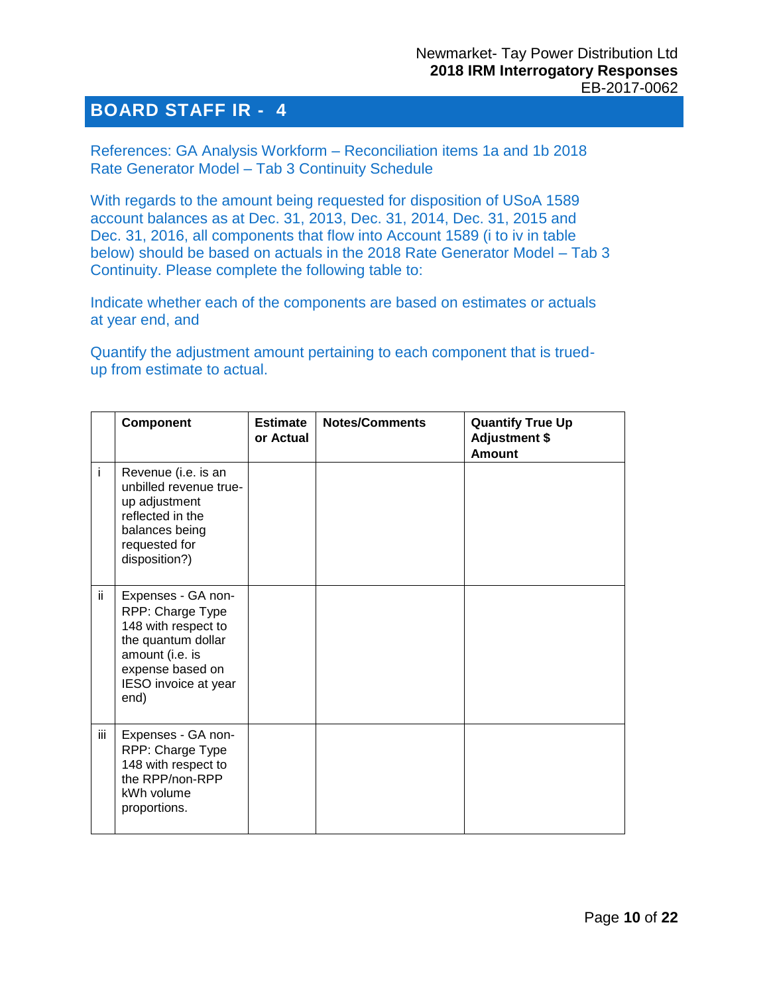<span id="page-9-0"></span>References: GA Analysis Workform – Reconciliation items 1a and 1b 2018 Rate Generator Model – Tab 3 Continuity Schedule

With regards to the amount being requested for disposition of USoA 1589 account balances as at Dec. 31, 2013, Dec. 31, 2014, Dec. 31, 2015 and Dec. 31, 2016, all components that flow into Account 1589 (i to iv in table below) should be based on actuals in the 2018 Rate Generator Model – Tab 3 Continuity. Please complete the following table to:

Indicate whether each of the components are based on estimates or actuals at year end, and

Quantify the adjustment amount pertaining to each component that is truedup from estimate to actual.

|     | Component                                                                                                                                                  | <b>Estimate</b><br>or Actual | <b>Notes/Comments</b> | <b>Quantify True Up</b><br><b>Adjustment \$</b><br><b>Amount</b> |
|-----|------------------------------------------------------------------------------------------------------------------------------------------------------------|------------------------------|-----------------------|------------------------------------------------------------------|
| i.  | Revenue (i.e. is an<br>unbilled revenue true-<br>up adjustment<br>reflected in the<br>balances being<br>requested for<br>disposition?)                     |                              |                       |                                                                  |
| ii. | Expenses - GA non-<br>RPP: Charge Type<br>148 with respect to<br>the quantum dollar<br>amount (i.e. is<br>expense based on<br>IESO invoice at year<br>end) |                              |                       |                                                                  |
| iii | Expenses - GA non-<br>RPP: Charge Type<br>148 with respect to<br>the RPP/non-RPP<br>kWh volume<br>proportions.                                             |                              |                       |                                                                  |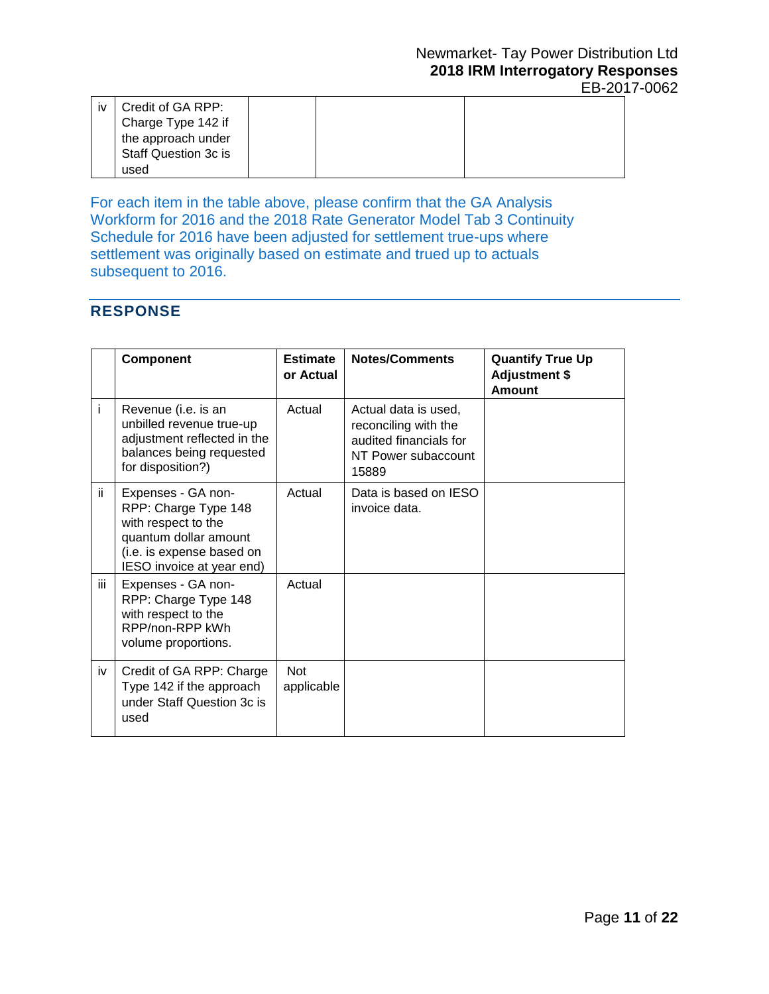| <b>iv</b> | Credit of GA RPP:    |  |  |
|-----------|----------------------|--|--|
|           | Charge Type 142 if   |  |  |
|           | the approach under   |  |  |
|           | Staff Question 3c is |  |  |
|           | used                 |  |  |

For each item in the table above, please confirm that the GA Analysis Workform for 2016 and the 2018 Rate Generator Model Tab 3 Continuity Schedule for 2016 have been adjusted for settlement true-ups where settlement was originally based on estimate and trued up to actuals subsequent to 2016.

#### **RESPONSE**

|     | Component                                                                                                                                            | <b>Estimate</b><br>or Actual | <b>Notes/Comments</b>                                                                                  | <b>Quantify True Up</b><br><b>Adjustment \$</b><br>Amount |
|-----|------------------------------------------------------------------------------------------------------------------------------------------------------|------------------------------|--------------------------------------------------------------------------------------------------------|-----------------------------------------------------------|
| Ť   | Revenue (i.e. is an<br>unbilled revenue true-up<br>adjustment reflected in the<br>balances being requested<br>for disposition?)                      | Actual                       | Actual data is used,<br>reconciling with the<br>audited financials for<br>NT Power subaccount<br>15889 |                                                           |
| ii. | Expenses - GA non-<br>RPP: Charge Type 148<br>with respect to the<br>quantum dollar amount<br>(i.e. is expense based on<br>IESO invoice at year end) | Actual                       | Data is based on IESO<br>invoice data.                                                                 |                                                           |
| iii | Expenses - GA non-<br>RPP: Charge Type 148<br>with respect to the<br>RPP/non-RPP kWh<br>volume proportions.                                          | Actual                       |                                                                                                        |                                                           |
| iv  | Credit of GA RPP: Charge<br>Type 142 if the approach<br>under Staff Question 3c is<br>used                                                           | <b>Not</b><br>applicable     |                                                                                                        |                                                           |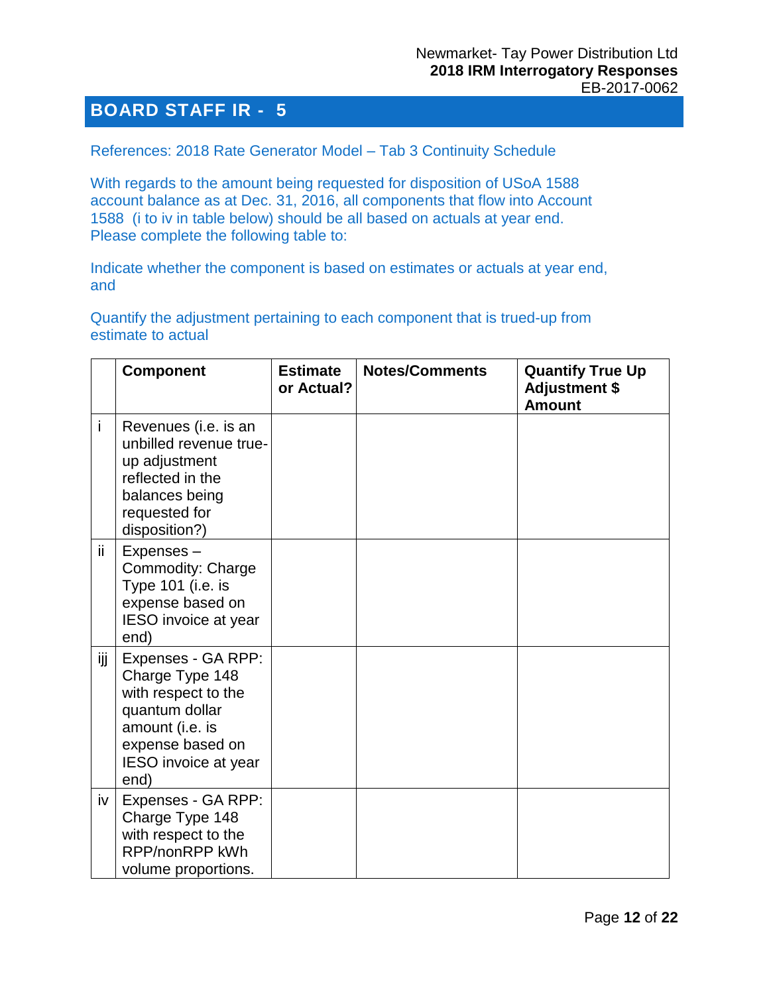#### <span id="page-11-0"></span>References: 2018 Rate Generator Model – Tab 3 Continuity Schedule

With regards to the amount being requested for disposition of USoA 1588 account balance as at Dec. 31, 2016, all components that flow into Account 1588 (i to iv in table below) should be all based on actuals at year end. Please complete the following table to:

Indicate whether the component is based on estimates or actuals at year end, and

Quantify the adjustment pertaining to each component that is trued-up from estimate to actual

|     | <b>Component</b>                                                                                                                                      | <b>Estimate</b><br>or Actual? | <b>Notes/Comments</b> | <b>Quantify True Up</b><br><b>Adjustment \$</b><br><b>Amount</b> |
|-----|-------------------------------------------------------------------------------------------------------------------------------------------------------|-------------------------------|-----------------------|------------------------------------------------------------------|
| i   | Revenues (i.e. is an<br>unbilled revenue true-<br>up adjustment<br>reflected in the<br>balances being<br>requested for<br>disposition?)               |                               |                       |                                                                  |
| ii. | Expenses-<br>Commodity: Charge<br>Type 101 (i.e. is<br>expense based on<br><b>IESO</b> invoice at year<br>end)                                        |                               |                       |                                                                  |
| ijj | Expenses - GA RPP:<br>Charge Type 148<br>with respect to the<br>quantum dollar<br>amount (i.e. is<br>expense based on<br>IESO invoice at year<br>end) |                               |                       |                                                                  |
| iv  | Expenses - GA RPP:<br>Charge Type 148<br>with respect to the<br>RPP/nonRPP kWh<br>volume proportions.                                                 |                               |                       |                                                                  |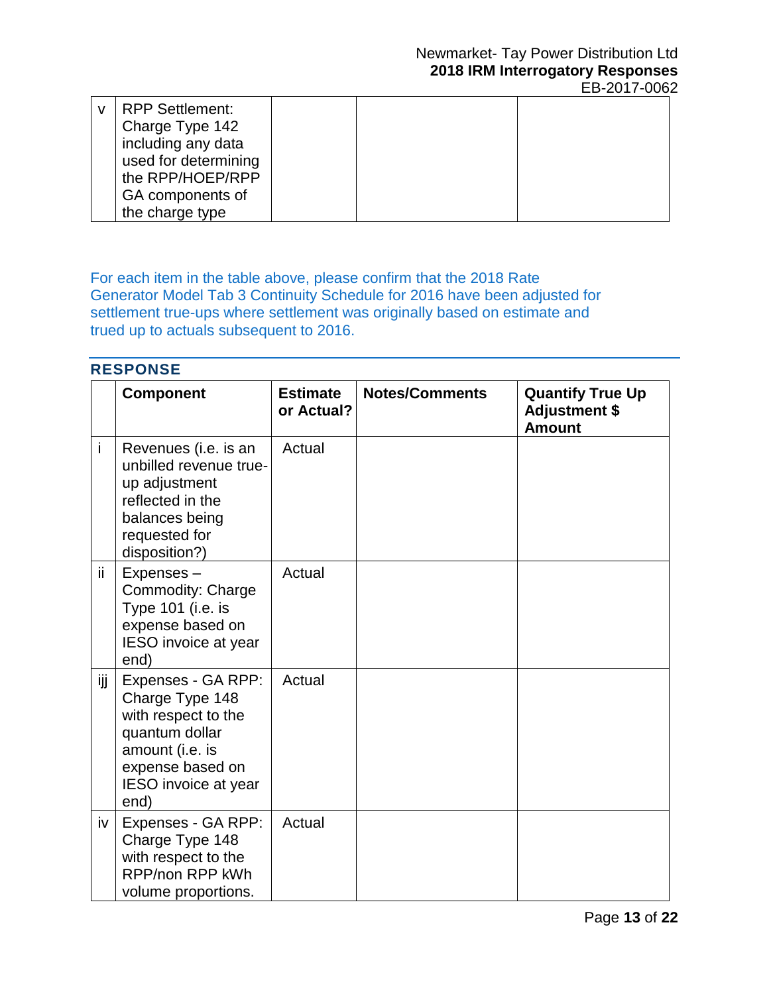| <b>RPP Settlement:</b> |  |  |
|------------------------|--|--|
| Charge Type 142        |  |  |
| including any data     |  |  |
| used for determining   |  |  |
| the RPP/HOEP/RPP       |  |  |
| GA components of       |  |  |
| the charge type        |  |  |

For each item in the table above, please confirm that the 2018 Rate Generator Model Tab 3 Continuity Schedule for 2016 have been adjusted for settlement true-ups where settlement was originally based on estimate and trued up to actuals subsequent to 2016.

| <b>RESPONSE</b> |                                                                                                                                                              |                               |                       |                                                                  |
|-----------------|--------------------------------------------------------------------------------------------------------------------------------------------------------------|-------------------------------|-----------------------|------------------------------------------------------------------|
|                 | <b>Component</b>                                                                                                                                             | <b>Estimate</b><br>or Actual? | <b>Notes/Comments</b> | <b>Quantify True Up</b><br><b>Adjustment \$</b><br><b>Amount</b> |
| i               | Revenues (i.e. is an<br>unbilled revenue true-<br>up adjustment<br>reflected in the<br>balances being<br>requested for<br>disposition?)                      | Actual                        |                       |                                                                  |
| ii.             | Expenses-<br>Commodity: Charge<br>Type 101 (i.e. is<br>expense based on<br><b>IESO</b> invoice at year<br>end)                                               | Actual                        |                       |                                                                  |
| ijj             | Expenses - GA RPP:<br>Charge Type 148<br>with respect to the<br>quantum dollar<br>amount (i.e. is<br>expense based on<br><b>IESO</b> invoice at year<br>end) | Actual                        |                       |                                                                  |
| iv              | Expenses - GA RPP:<br>Charge Type 148<br>with respect to the<br>RPP/non RPP kWh<br>volume proportions.                                                       | Actual                        |                       |                                                                  |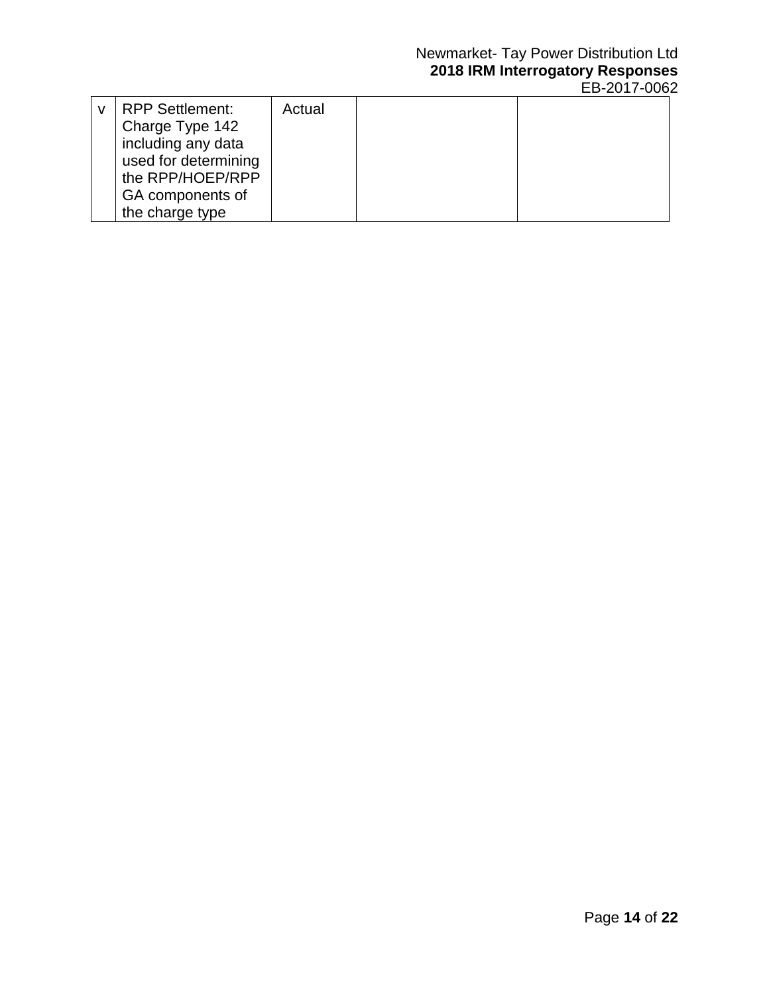#### Newmarket- Tay Power Distribution Ltd **2018 IRM Interrogatory Responses** EB-2017-0062

| <b>RPP Settlement:</b> | Actual |  |
|------------------------|--------|--|
| Charge Type 142        |        |  |
| including any data     |        |  |
| used for determining   |        |  |
| the RPP/HOEP/RPP       |        |  |
| GA components of       |        |  |
| the charge type        |        |  |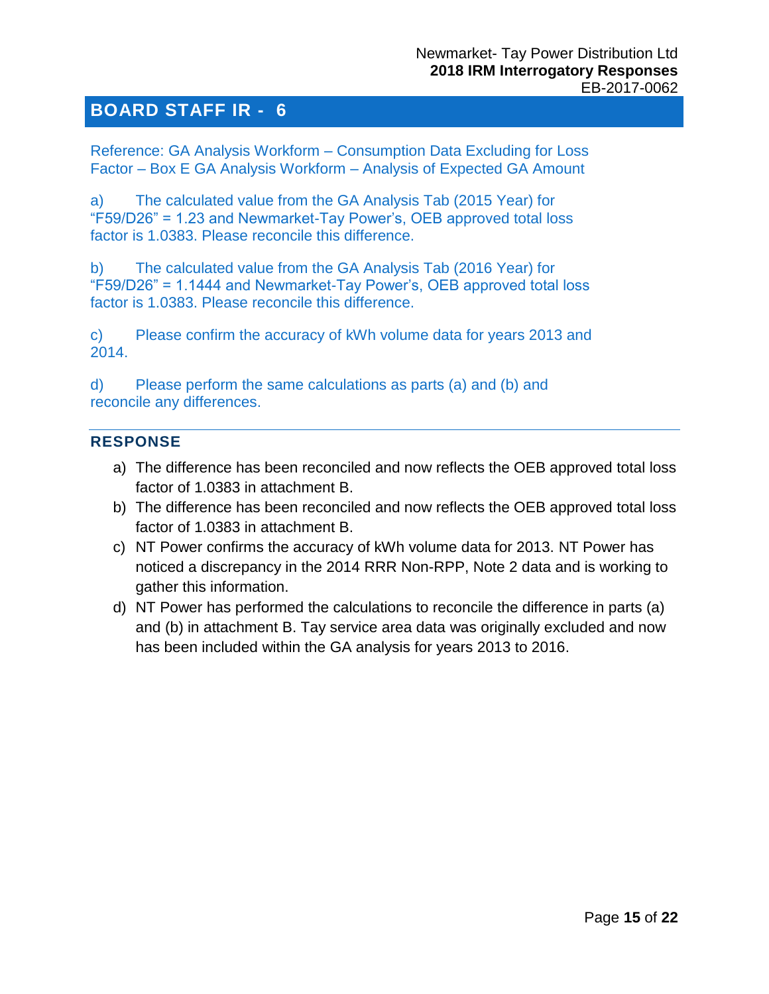<span id="page-14-0"></span>Reference: GA Analysis Workform – Consumption Data Excluding for Loss Factor – Box E GA Analysis Workform – Analysis of Expected GA Amount

a) The calculated value from the GA Analysis Tab (2015 Year) for "F59/D26" = 1.23 and Newmarket-Tay Power's, OEB approved total loss factor is 1.0383. Please reconcile this difference.

b) The calculated value from the GA Analysis Tab (2016 Year) for "F59/D26" = 1.1444 and Newmarket-Tay Power's, OEB approved total loss factor is 1.0383. Please reconcile this difference.

c) Please confirm the accuracy of kWh volume data for years 2013 and 2014.

d) Please perform the same calculations as parts (a) and (b) and reconcile any differences.

#### **RESPONSE**

- a) The difference has been reconciled and now reflects the OEB approved total loss factor of 1.0383 in attachment B.
- b) The difference has been reconciled and now reflects the OEB approved total loss factor of 1.0383 in attachment B.
- c) NT Power confirms the accuracy of kWh volume data for 2013. NT Power has noticed a discrepancy in the 2014 RRR Non-RPP, Note 2 data and is working to gather this information.
- d) NT Power has performed the calculations to reconcile the difference in parts (a) and (b) in attachment B. Tay service area data was originally excluded and now has been included within the GA analysis for years 2013 to 2016.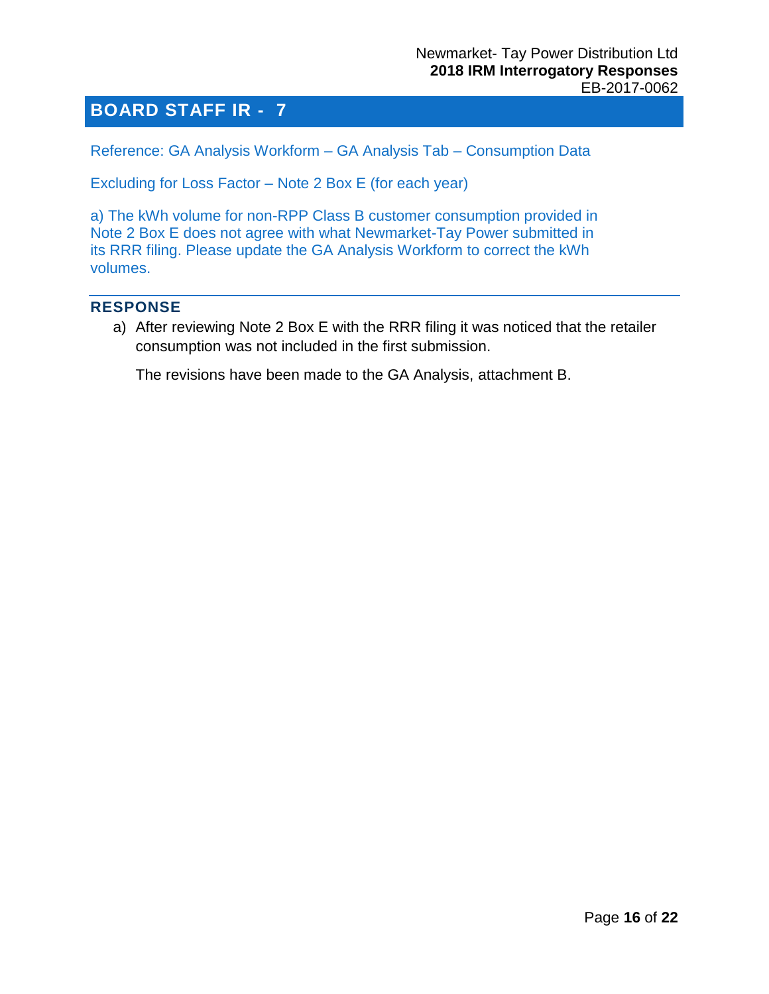<span id="page-15-0"></span>Reference: GA Analysis Workform – GA Analysis Tab – Consumption Data

Excluding for Loss Factor – Note 2 Box E (for each year)

a) The kWh volume for non-RPP Class B customer consumption provided in Note 2 Box E does not agree with what Newmarket-Tay Power submitted in its RRR filing. Please update the GA Analysis Workform to correct the kWh volumes.

#### **RESPONSE**

a) After reviewing Note 2 Box E with the RRR filing it was noticed that the retailer consumption was not included in the first submission.

The revisions have been made to the GA Analysis, attachment B.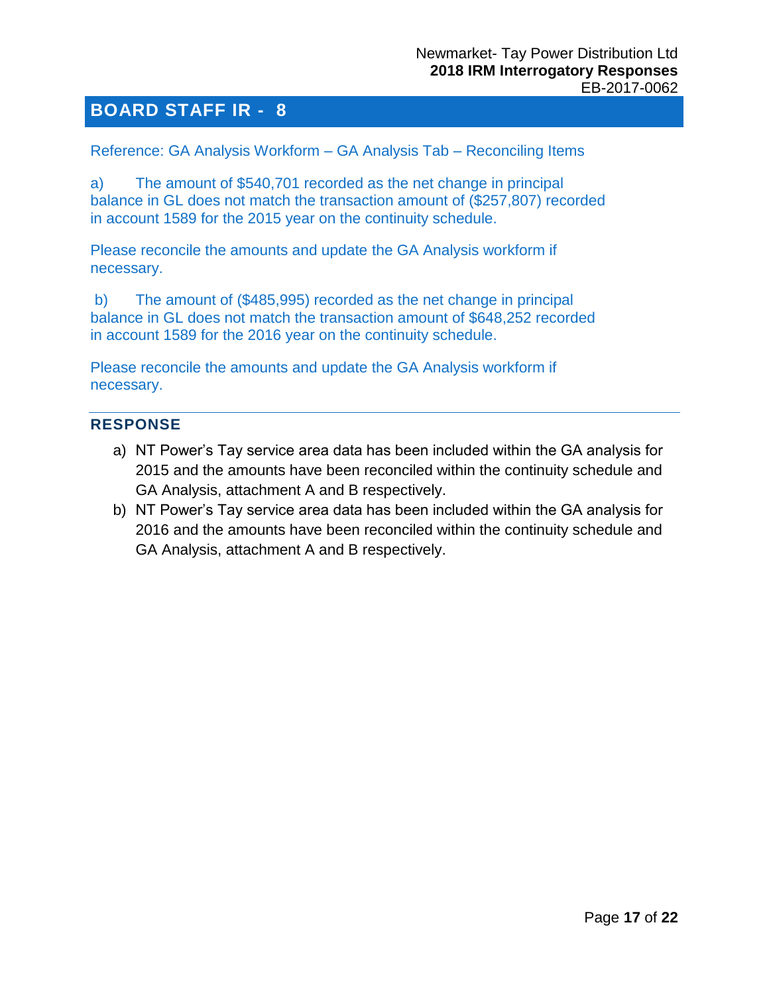<span id="page-16-0"></span>Reference: GA Analysis Workform – GA Analysis Tab – Reconciling Items

a) The amount of \$540,701 recorded as the net change in principal balance in GL does not match the transaction amount of (\$257,807) recorded in account 1589 for the 2015 year on the continuity schedule.

Please reconcile the amounts and update the GA Analysis workform if necessary.

b) The amount of (\$485,995) recorded as the net change in principal balance in GL does not match the transaction amount of \$648,252 recorded in account 1589 for the 2016 year on the continuity schedule.

Please reconcile the amounts and update the GA Analysis workform if necessary.

#### **RESPONSE**

- a) NT Power's Tay service area data has been included within the GA analysis for 2015 and the amounts have been reconciled within the continuity schedule and GA Analysis, attachment A and B respectively.
- b) NT Power's Tay service area data has been included within the GA analysis for 2016 and the amounts have been reconciled within the continuity schedule and GA Analysis, attachment A and B respectively.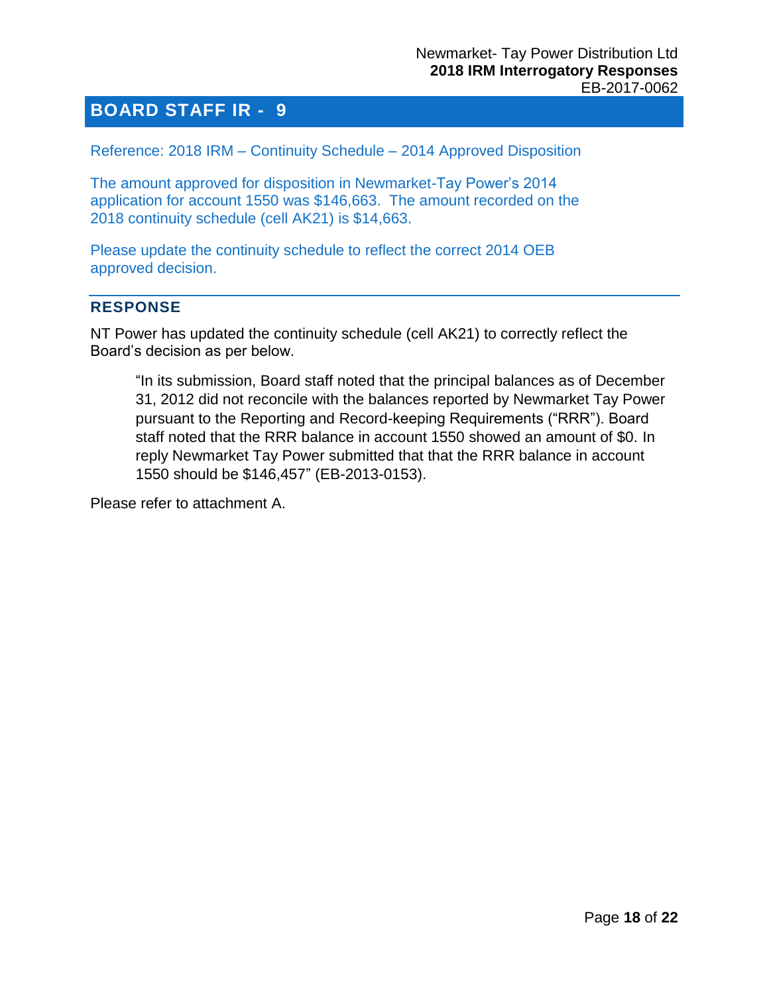<span id="page-17-0"></span>Reference: 2018 IRM – Continuity Schedule – 2014 Approved Disposition

The amount approved for disposition in Newmarket-Tay Power's 2014 application for account 1550 was \$146,663. The amount recorded on the 2018 continuity schedule (cell AK21) is \$14,663.

Please update the continuity schedule to reflect the correct 2014 OEB approved decision.

#### **RESPONSE**

NT Power has updated the continuity schedule (cell AK21) to correctly reflect the Board's decision as per below.

"In its submission, Board staff noted that the principal balances as of December 31, 2012 did not reconcile with the balances reported by Newmarket Tay Power pursuant to the Reporting and Record-keeping Requirements ("RRR"). Board staff noted that the RRR balance in account 1550 showed an amount of \$0. In reply Newmarket Tay Power submitted that that the RRR balance in account 1550 should be \$146,457" (EB-2013-0153).

Please refer to attachment A.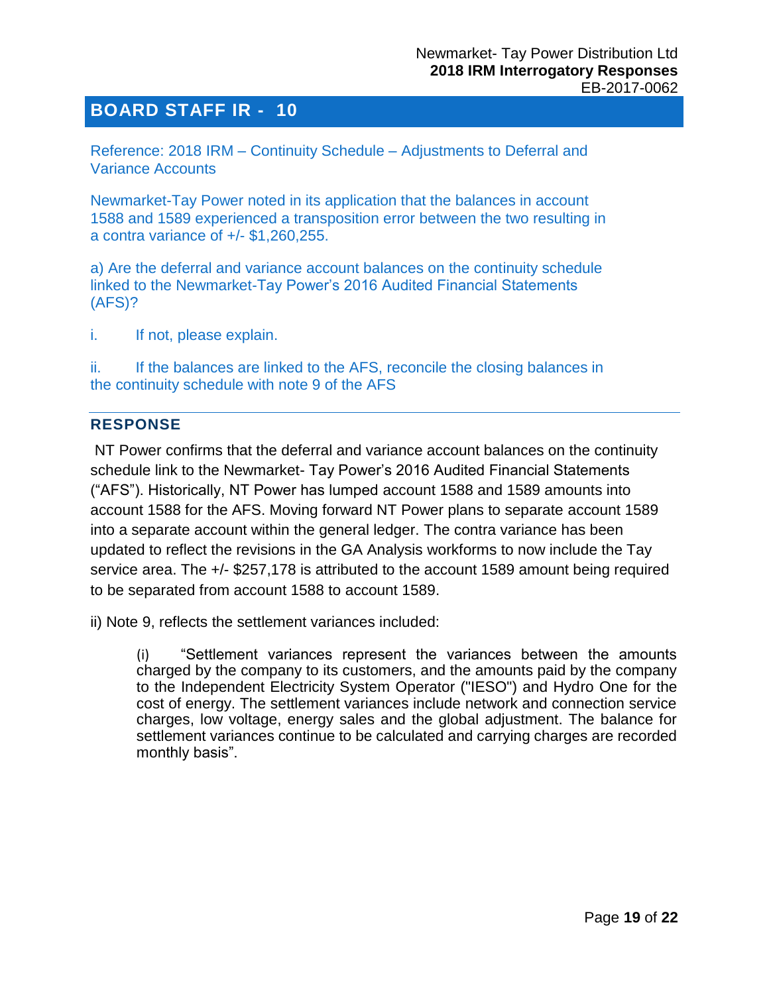<span id="page-18-0"></span>Reference: 2018 IRM – Continuity Schedule – Adjustments to Deferral and Variance Accounts

Newmarket-Tay Power noted in its application that the balances in account 1588 and 1589 experienced a transposition error between the two resulting in a contra variance of +/- \$1,260,255.

a) Are the deferral and variance account balances on the continuity schedule linked to the Newmarket-Tay Power's 2016 Audited Financial Statements (AFS)?

i. If not, please explain.

ii. If the balances are linked to the AFS, reconcile the closing balances in the continuity schedule with note 9 of the AFS

#### **RESPONSE**

NT Power confirms that the deferral and variance account balances on the continuity schedule link to the Newmarket- Tay Power's 2016 Audited Financial Statements ("AFS"). Historically, NT Power has lumped account 1588 and 1589 amounts into account 1588 for the AFS. Moving forward NT Power plans to separate account 1589 into a separate account within the general ledger. The contra variance has been updated to reflect the revisions in the GA Analysis workforms to now include the Tay service area. The +/- \$257,178 is attributed to the account 1589 amount being required to be separated from account 1588 to account 1589.

ii) Note 9, reflects the settlement variances included:

(i) "Settlement variances represent the variances between the amounts charged by the company to its customers, and the amounts paid by the company to the Independent Electricity System Operator ("IESO") and Hydro One for the cost of energy. The settlement variances include network and connection service charges, low voltage, energy sales and the global adjustment. The balance for settlement variances continue to be calculated and carrying charges are recorded monthly basis".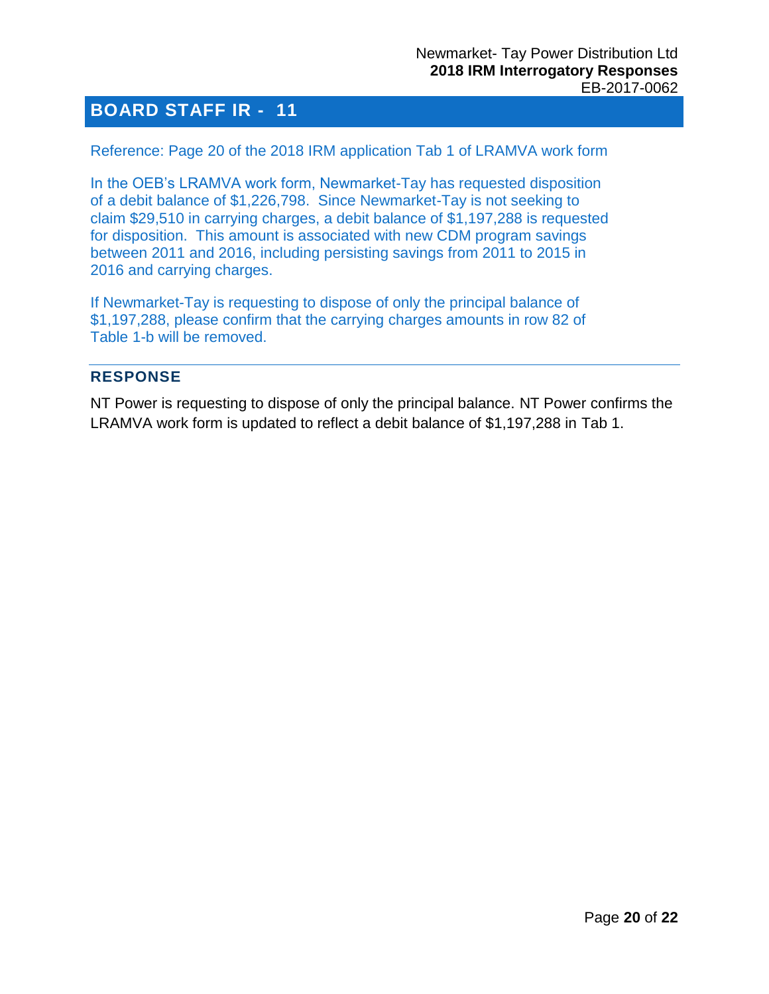#### <span id="page-19-0"></span>Reference: Page 20 of the 2018 IRM application Tab 1 of LRAMVA work form

In the OEB's LRAMVA work form, Newmarket-Tay has requested disposition of a debit balance of \$1,226,798. Since Newmarket-Tay is not seeking to claim \$29,510 in carrying charges, a debit balance of \$1,197,288 is requested for disposition. This amount is associated with new CDM program savings between 2011 and 2016, including persisting savings from 2011 to 2015 in 2016 and carrying charges.

If Newmarket-Tay is requesting to dispose of only the principal balance of \$1,197,288, please confirm that the carrying charges amounts in row 82 of Table 1-b will be removed.

#### **RESPONSE**

NT Power is requesting to dispose of only the principal balance. NT Power confirms the LRAMVA work form is updated to reflect a debit balance of \$1,197,288 in Tab 1.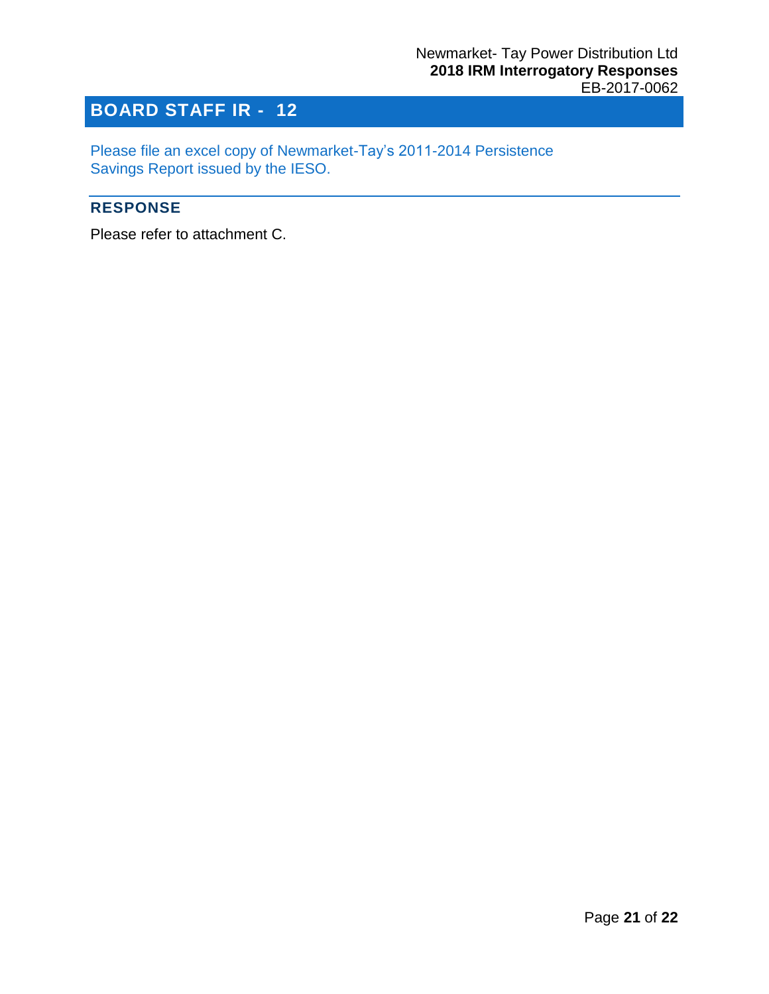<span id="page-20-0"></span>Please file an excel copy of Newmarket-Tay's 2011-2014 Persistence Savings Report issued by the IESO.

#### **RESPONSE**

Please refer to attachment C.